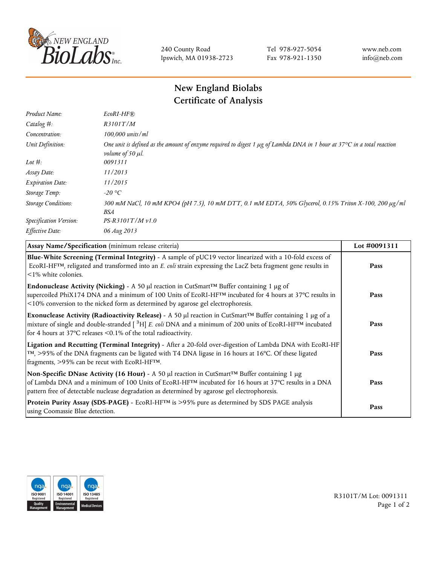

240 County Road Ipswich, MA 01938-2723 Tel 978-927-5054 Fax 978-921-1350 www.neb.com info@neb.com

## **New England Biolabs Certificate of Analysis**

| Product Name:              | $EcoRI-HF$ $R$                                                                                                                                                                   |
|----------------------------|----------------------------------------------------------------------------------------------------------------------------------------------------------------------------------|
| Catalog #:                 | R3101T/M                                                                                                                                                                         |
| Concentration:             | 100,000 units/ml                                                                                                                                                                 |
| Unit Definition:           | One unit is defined as the amount of enzyme required to digest 1 $\mu$ g of Lambda DNA in 1 hour at 37 $\degree$ C in a total reaction<br><i>volume of 50 <math>\mu</math>l.</i> |
| Lot $#$ :                  | 0091311                                                                                                                                                                          |
| Assay Date:                | 11/2013                                                                                                                                                                          |
| <b>Expiration Date:</b>    | 11/2015                                                                                                                                                                          |
| Storage Temp:              | $-20$ °C                                                                                                                                                                         |
| <b>Storage Conditions:</b> | 300 mM NaCl, 10 mM KPO4 (pH 7.5), 10 mM DTT, 0.1 mM EDTA, 50% Glycerol, 0.15% Triton X-100, 200 µg/ml<br>BSA                                                                     |
| Specification Version:     | $PS-R3101T/Mv1.0$                                                                                                                                                                |
| Effective Date:            | 06 Aug 2013                                                                                                                                                                      |

| Assay Name/Specification (minimum release criteria)                                                                                                                                                                                                                                                                                         | Lot #0091311 |
|---------------------------------------------------------------------------------------------------------------------------------------------------------------------------------------------------------------------------------------------------------------------------------------------------------------------------------------------|--------------|
| Blue-White Screening (Terminal Integrity) - A sample of pUC19 vector linearized with a 10-fold excess of<br>ECORI-HFTM, religated and transformed into an E. coli strain expressing the LacZ beta fragment gene results in<br>$\leq$ 1% white colonies.                                                                                     | Pass         |
| Endonuclease Activity (Nicking) - A 50 µl reaction in CutSmart™ Buffer containing 1 µg of<br>supercoiled PhiX174 DNA and a minimum of 100 Units of EcoRI-HFTM incubated for 4 hours at 37°C results in<br><10% conversion to the nicked form as determined by agarose gel electrophoresis.                                                  | Pass         |
| Exonuclease Activity (Radioactivity Release) - A 50 µl reaction in CutSmart™ Buffer containing 1 µg of a<br>mixture of single and double-stranded $\left[$ <sup>3</sup> H $\right]$ E. coli DNA and a minimum of 200 units of EcoRI-HF <sup>TM</sup> incubated<br>for 4 hours at 37 $^{\circ}$ C releases <0.1% of the total radioactivity. | Pass         |
| Ligation and Recutting (Terminal Integrity) - After a 20-fold over-digestion of Lambda DNA with EcoRI-HF<br>TM, >95% of the DNA fragments can be ligated with T4 DNA ligase in 16 hours at 16°C. Of these ligated<br>fragments, >95% can be recut with EcoRI-HFTM.                                                                          | Pass         |
| Non-Specific DNase Activity (16 Hour) - A 50 µl reaction in CutSmart™ Buffer containing 1 µg<br>of Lambda DNA and a minimum of 100 Units of EcoRI-HFTM incubated for 16 hours at 37°C results in a DNA<br>pattern free of detectable nuclease degradation as determined by agarose gel electrophoresis.                                     | Pass         |
| Protein Purity Assay (SDS-PAGE) - EcoRI-HF™ is >95% pure as determined by SDS PAGE analysis<br>using Coomassie Blue detection.                                                                                                                                                                                                              | Pass         |



R3101T/M Lot: 0091311 Page 1 of 2